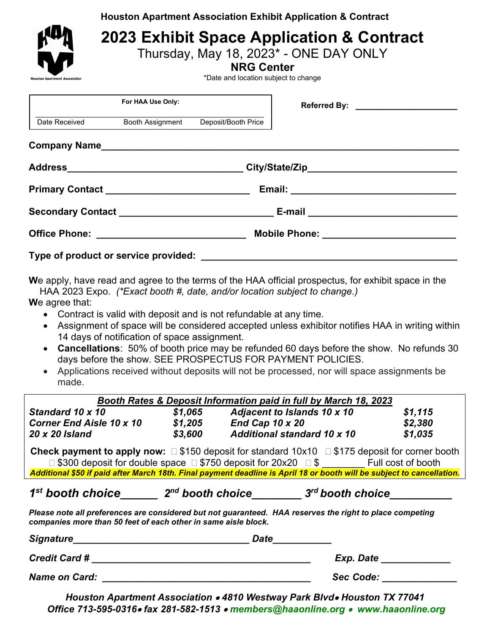**Houston Apartment Association Exhibit Application & Contract**



## **2023 Exhibit Space Application & Contract**

Thursday, May 18, 2023\* - ONE DAY ONLY

**NRG Center**

\*Date and location subject to change

|               | For HAA Use Only:                                 |                                      |  |  |  |
|---------------|---------------------------------------------------|--------------------------------------|--|--|--|
| Date Received |                                                   | Booth Assignment Deposit/Booth Price |  |  |  |
|               |                                                   |                                      |  |  |  |
|               |                                                   |                                      |  |  |  |
|               | Primary Contact _________________________________ |                                      |  |  |  |
|               |                                                   |                                      |  |  |  |
|               |                                                   |                                      |  |  |  |
|               |                                                   |                                      |  |  |  |

**W**e apply, have read and agree to the terms of the HAA official prospectus, for exhibit space in the HAA 2023 Expo. *(\*Exact booth #, date, and/or location subject to change.)*

**W**e agree that:

- Contract is valid with deposit and is not refundable at any time.
- Assignment of space will be considered accepted unless exhibitor notifies HAA in writing within 14 days of notification of space assignment.
- **Cancellations**: 50% of booth price may be refunded 60 days before the show. No refunds 30 days before the show. SEE PROSPECTUS FOR PAYMENT POLICIES.
- Applications received without deposits will not be processed, nor will space assignments be made.

| <b>Booth Rates &amp; Deposit Information paid in full by March 18, 2023</b>                                                                                                |         |                                    |           |         |  |  |  |  |
|----------------------------------------------------------------------------------------------------------------------------------------------------------------------------|---------|------------------------------------|-----------|---------|--|--|--|--|
| Standard 10 x 10                                                                                                                                                           | \$1,065 | <b>Adjacent to Islands 10 x 10</b> |           | \$1,115 |  |  |  |  |
| <b>Corner End Aisle 10 x 10</b>                                                                                                                                            | \$1,205 | End Cap 10 x 20                    |           | \$2,380 |  |  |  |  |
| 20 x 20 Island                                                                                                                                                             | \$3,600 | <b>Additional standard 10 x 10</b> |           | \$1,035 |  |  |  |  |
| <b>Check payment to apply now:</b> $\Box$ \$150 deposit for standard 10x10 $\Box$ \$175 deposit for corner booth                                                           |         |                                    |           |         |  |  |  |  |
| □ \$300 deposit for double space □ \$750 deposit for 20x20 □ \$ Full cost of booth                                                                                         |         |                                    |           |         |  |  |  |  |
| Additional \$50 if paid after March 18th. Final payment deadline is April 18 or booth will be subject to cancellation.                                                     |         |                                    |           |         |  |  |  |  |
| $1st$ booth choice $2nd$ booth choice $3rd$ booth choice                                                                                                                   |         |                                    |           |         |  |  |  |  |
| Please note all preferences are considered but not guaranteed. HAA reserves the right to place competing<br>companies more than 50 feet of each other in same aisle block. |         |                                    |           |         |  |  |  |  |
| <b>Signature</b>                                                                                                                                                           |         | Date                               |           |         |  |  |  |  |
| <b>Credit Card #</b>                                                                                                                                                       |         |                                    | Exp. Date |         |  |  |  |  |

*Name on Card: \_\_\_\_\_\_\_\_\_\_\_\_\_\_\_\_\_\_\_\_\_\_\_\_\_\_\_\_\_\_\_\_\_\_\_\_\_\_\_ Sec Code: \_\_\_\_\_\_\_\_\_\_\_\_\_\_*

*Houston Apartment Association* • *4810 Westway Park Blvd*• *Houston TX 77041 Office 713-595-0316*• *fax 281-582-1513* • *members@haaonline.org* • *www.haaonline.org*